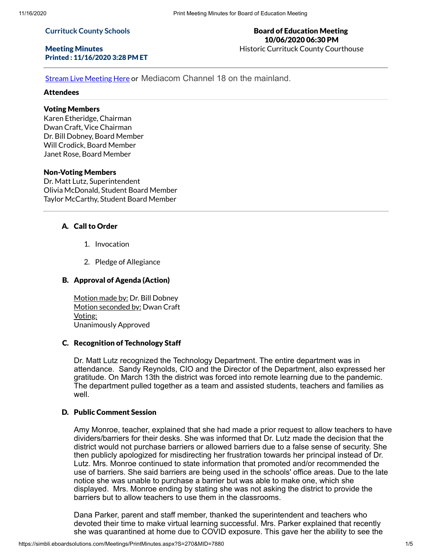#### **Currituck County Schools**

## Meeting Minutes Printed : 11/16/2020 3:28 PM ET

## Board of Education Meeting 10/06/2020 06:30 PM Historic Currituck County Courthouse

**Stream Live [Meeting](http://currituckcountync.iqm2.com/Citizens/default.aspx) Here or Mediacom Channel 18 on the mainland.** 

#### Attendees

# Voting Members

Karen Etheridge, Chairman Dwan Craft, Vice Chairman Dr. Bill Dobney, Board Member Will Crodick, Board Member Janet Rose, Board Member

## Non-Voting Members

Dr. Matt Lutz, Superintendent Olivia McDonald, Student Board Member Taylor McCarthy, Student Board Member

# A. Call to Order

- 1. Invocation
- 2. Pledge of Allegiance

## B. Approval of Agenda (Action)

Motion made by: Dr. Bill Dobney Motion seconded by: Dwan Craft Voting: Unanimously Approved

#### C. Recognition of Technology Staff

Dr. Matt Lutz recognized the Technology Department. The entire department was in attendance. Sandy Reynolds, CIO and the Director of the Department, also expressed her gratitude. On March 13th the district was forced into remote learning due to the pandemic. The department pulled together as a team and assisted students, teachers and families as well

## D. Public Comment Session

Amy Monroe, teacher, explained that she had made a prior request to allow teachers to have dividers/barriers for their desks. She was informed that Dr. Lutz made the decision that the district would not purchase barriers or allowed barriers due to a false sense of security. She then publicly apologized for misdirecting her frustration towards her principal instead of Dr. Lutz. Mrs. Monroe continued to state information that promoted and/or recommended the use of barriers. She said barriers are being used in the schools' office areas. Due to the late notice she was unable to purchase a barrier but was able to make one, which she displayed. Mrs. Monroe ending by stating she was not asking the district to provide the barriers but to allow teachers to use them in the classrooms.

Dana Parker, parent and staff member, thanked the superintendent and teachers who devoted their time to make virtual learning successful. Mrs. Parker explained that recently she was quarantined at home due to COVID exposure. This gave her the ability to see the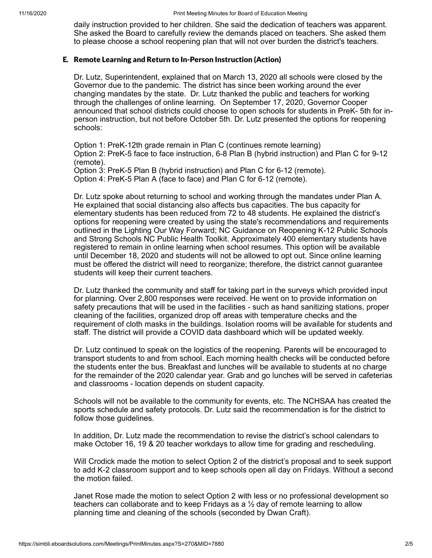daily instruction provided to her children. She said the dedication of teachers was apparent. She asked the Board to carefully review the demands placed on teachers. She asked them to please choose a school reopening plan that will not over burden the district's teachers.

# E. Remote Learning and Return to In-Person Instruction (Action)

Dr. Lutz, Superintendent, explained that on March 13, 2020 all schools were closed by the Governor due to the pandemic. The district has since been working around the ever changing mandates by the state. Dr. Lutz thanked the public and teachers for working through the challenges of online learning. On September 17, 2020, Governor Cooper announced that school districts could choose to open schools for students in PreK- 5th for inperson instruction, but not before October 5th. Dr. Lutz presented the options for reopening schools:

Option 1: PreK-12th grade remain in Plan C (continues remote learning) Option 2: PreK-5 face to face instruction, 6-8 Plan B (hybrid instruction) and Plan C for 9-12 (remote).

Option 3: PreK-5 Plan B (hybrid instruction) and Plan C for 6-12 (remote).

Option 4: PreK-5 Plan A (face to face) and Plan C for 6-12 (remote).

Dr. Lutz spoke about returning to school and working through the mandates under Plan A. He explained that social distancing also affects bus capacities. The bus capacity for elementary students has been reduced from 72 to 48 students. He explained the district's options for reopening were created by using the state's recommendations and requirements outlined in the Lighting Our Way Forward; NC Guidance on Reopening K-12 Public Schools and Strong Schools NC Public Health Toolkit. Approximately 400 elementary students have registered to remain in online learning when school resumes. This option will be available until December 18, 2020 and students will not be allowed to opt out. Since online learning must be offered the district will need to reorganize; therefore, the district cannot guarantee students will keep their current teachers.

Dr. Lutz thanked the community and staff for taking part in the surveys which provided input for planning. Over 2,800 responses were received. He went on to provide information on safety precautions that will be used in the facilities - such as hand sanitizing stations, proper cleaning of the facilities, organized drop off areas with temperature checks and the requirement of cloth masks in the buildings. Isolation rooms will be available for students and staff. The district will provide a COVID data dashboard which will be updated weekly.

Dr. Lutz continued to speak on the logistics of the reopening. Parents will be encouraged to transport students to and from school. Each morning health checks will be conducted before the students enter the bus. Breakfast and lunches will be available to students at no charge for the remainder of the 2020 calendar year. Grab and go lunches will be served in cafeterias and classrooms - location depends on student capacity.

Schools will not be available to the community for events, etc. The NCHSAA has created the sports schedule and safety protocols. Dr. Lutz said the recommendation is for the district to follow those guidelines.

In addition, Dr. Lutz made the recommendation to revise the district's school calendars to make October 16, 19 & 20 teacher workdays to allow time for grading and rescheduling.

Will Crodick made the motion to select Option 2 of the district's proposal and to seek support to add K-2 classroom support and to keep schools open all day on Fridays. Without a second the motion failed.

Janet Rose made the motion to select Option 2 with less or no professional development so teachers can collaborate and to keep Fridays as a ½ day of remote learning to allow planning time and cleaning of the schools (seconded by Dwan Craft).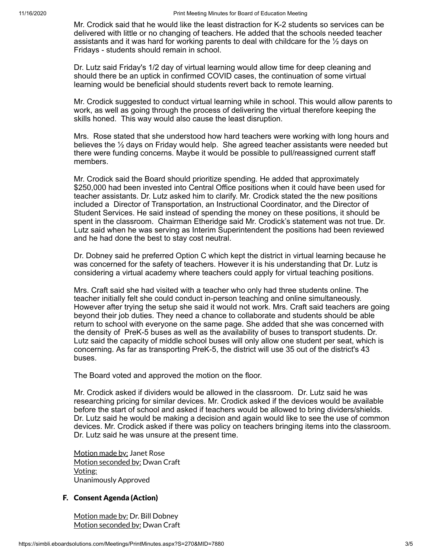Mr. Crodick said that he would like the least distraction for K-2 students so services can be delivered with little or no changing of teachers. He added that the schools needed teacher assistants and it was hard for working parents to deal with childcare for the  $\frac{1}{2}$  days on Fridays - students should remain in school.

Dr. Lutz said Friday's 1/2 day of virtual learning would allow time for deep cleaning and should there be an uptick in confirmed COVID cases, the continuation of some virtual learning would be beneficial should students revert back to remote learning.

Mr. Crodick suggested to conduct virtual learning while in school. This would allow parents to work, as well as going through the process of delivering the virtual therefore keeping the skills honed. This way would also cause the least disruption.

Mrs. Rose stated that she understood how hard teachers were working with long hours and believes the ½ days on Friday would help. She agreed teacher assistants were needed but there were funding concerns. Maybe it would be possible to pull/reassigned current staff members.

Mr. Crodick said the Board should prioritize spending. He added that approximately \$250,000 had been invested into Central Office positions when it could have been used for teacher assistants. Dr. Lutz asked him to clarify. Mr. Crodick stated the the new positions included a Director of Transportation, an Instructional Coordinator, and the Director of Student Services. He said instead of spending the money on these positions, it should be spent in the classroom. Chairman Etheridge said Mr. Crodick's statement was not true. Dr. Lutz said when he was serving as Interim Superintendent the positions had been reviewed and he had done the best to stay cost neutral.

Dr. Dobney said he preferred Option C which kept the district in virtual learning because he was concerned for the safety of teachers. However it is his understanding that Dr. Lutz is considering a virtual academy where teachers could apply for virtual teaching positions.

Mrs. Craft said she had visited with a teacher who only had three students online. The teacher initially felt she could conduct in-person teaching and online simultaneously. However after trying the setup she said it would not work. Mrs. Craft said teachers are going beyond their job duties. They need a chance to collaborate and students should be able return to school with everyone on the same page. She added that she was concerned with the density of PreK-5 buses as well as the availability of buses to transport students. Dr. Lutz said the capacity of middle school buses will only allow one student per seat, which is concerning. As far as transporting PreK-5, the district will use 35 out of the district's 43 buses.

The Board voted and approved the motion on the floor.

Mr. Crodick asked if dividers would be allowed in the classroom. Dr. Lutz said he was researching pricing for similar devices. Mr. Crodick asked if the devices would be available before the start of school and asked if teachers would be allowed to bring dividers/shields. Dr. Lutz said he would be making a decision and again would like to see the use of common devices. Mr. Crodick asked if there was policy on teachers bringing items into the classroom. Dr. Lutz said he was unsure at the present time.

Motion made by: Janet Rose Motion seconded by: Dwan Craft Voting: Unanimously Approved

# F. Consent Agenda (Action)

Motion made by: Dr. Bill Dobney Motion seconded by: Dwan Craft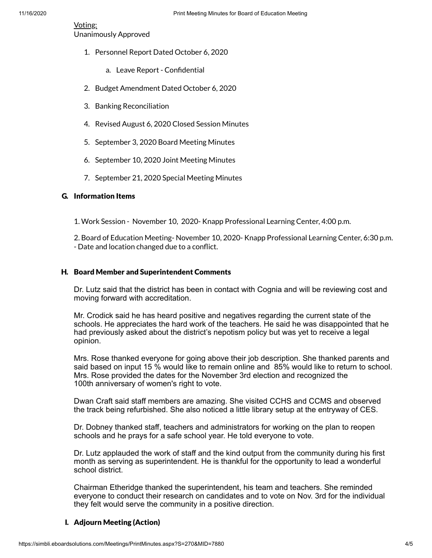## Voting:

Unanimously Approved

- 1. Personnel Report Dated October 6, 2020
	- a. Leave Report Confidential
- 2. Budget Amendment Dated October 6, 2020
- 3. Banking Reconciliation
- 4. Revised August 6, 2020 Closed Session Minutes
- 5. September 3, 2020 Board Meeting Minutes
- 6. September 10, 2020 Joint Meeting Minutes
- 7. September 21, 2020 Special Meeting Minutes

# G. Information Items

1. Work Session - November 10, 2020- Knapp Professional Learning Center, 4:00 p.m.

2. Board of Education Meeting- November 10, 2020- Knapp Professional Learning Center, 6:30 p.m. - Date and location changed due to a conflict.

## H. Board Member and Superintendent Comments

Dr. Lutz said that the district has been in contact with Cognia and will be reviewing cost and moving forward with accreditation.

Mr. Crodick said he has heard positive and negatives regarding the current state of the schools. He appreciates the hard work of the teachers. He said he was disappointed that he had previously asked about the district's nepotism policy but was yet to receive a legal opinion.

Mrs. Rose thanked everyone for going above their job description. She thanked parents and said based on input 15 % would like to remain online and 85% would like to return to school. Mrs. Rose provided the dates for the November 3rd election and recognized the 100th anniversary of women's right to vote.

Dwan Craft said staff members are amazing. She visited CCHS and CCMS and observed the track being refurbished. She also noticed a little library setup at the entryway of CES.

Dr. Dobney thanked staff, teachers and administrators for working on the plan to reopen schools and he prays for a safe school year. He told everyone to vote.

Dr. Lutz applauded the work of staff and the kind output from the community during his first month as serving as superintendent. He is thankful for the opportunity to lead a wonderful school district.

Chairman Etheridge thanked the superintendent, his team and teachers. She reminded everyone to conduct their research on candidates and to vote on Nov. 3rd for the individual they felt would serve the community in a positive direction.

# I. Adjourn Meeting (Action)